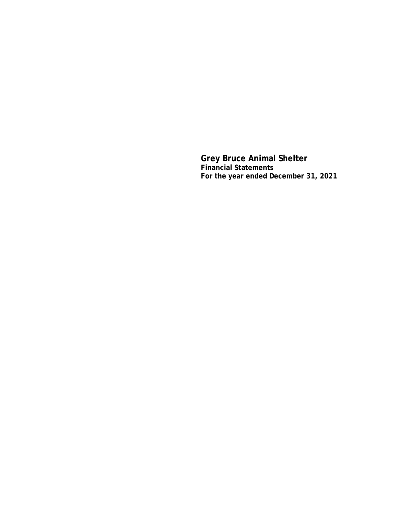**Grey Bruce Animal Shelter Financial Statements For the year ended December 31, 2021**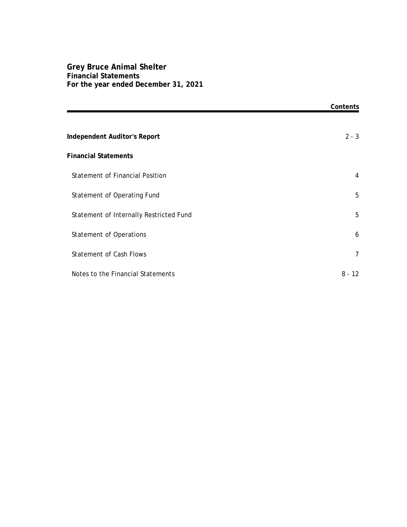## **Grey Bruce Animal Shelter Financial Statements For the year ended December 31, 2021**

|                                         | Contents |
|-----------------------------------------|----------|
|                                         |          |
| Independent Auditor's Report            | $2 - 3$  |
| <b>Financial Statements</b>             |          |
| Statement of Financial Position         | 4        |
| Statement of Operating Fund             | 5        |
| Statement of Internally Restricted Fund | 5        |
| <b>Statement of Operations</b>          | 6        |
| <b>Statement of Cash Flows</b>          | 7        |
| Notes to the Financial Statements       | $8 - 12$ |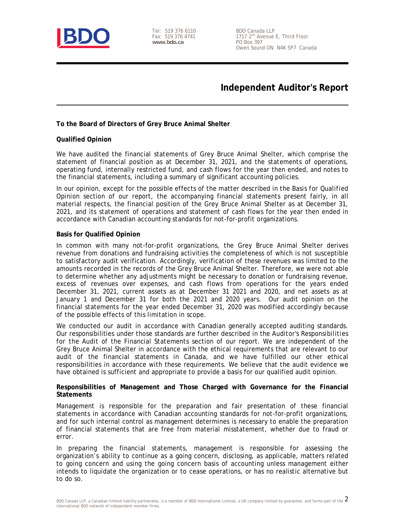

Tel: 519 376 6110 Fax: 519 376 4741 **www.bdo.ca** 

BDO Canada LLP 1717 2<sup>nd</sup> Avenue E, Third Floor PO Box 397 Owen Sound ON N4K 5P7 Canada

## **Independent Auditor's Report**

**To the Board of Directors of Grey Bruce Animal Shelter**

#### **Qualified Opinion**

We have audited the financial statements of Grey Bruce Animal Shelter, which comprise the statement of financial position as at December 31, 2021, and the statements of operations, operating fund, internally restricted fund, and cash flows for the year then ended, and notes to the financial statements, including a summary of significant accounting policies.

In our opinion, except for the possible effects of the matter described in the *Basis for Qualified Opinion* section of our report, the accompanying financial statements present fairly, in all material respects, the financial position of the Grey Bruce Animal Shelter as at December 31, 2021, and its statement of operations and statement of cash flows for the year then ended in accordance with Canadian accounting standards for not-for-profit organizations.

#### **Basis for Qualified Opinion**

In common with many not-for-profit organizations, the Grey Bruce Animal Shelter derives revenue from donations and fundraising activities the completeness of which is not susceptible to satisfactory audit verification. Accordingly, verification of these revenues was limited to the amounts recorded in the records of the Grey Bruce Animal Shelter. Therefore, we were not able to determine whether any adjustments might be necessary to donation or fundraising revenue, excess of revenues over expenses, and cash flows from operations for the years ended December 31, 2021, current assets as at December 31 2021 and 2020, and net assets as at January 1 and December 31 for both the 2021 and 2020 years. Our audit opinion on the financial statements for the year ended December 31, 2020 was modified accordingly because of the possible effects of this limitation in scope.

We conducted our audit in accordance with Canadian generally accepted auditing standards. Our responsibilities under those standards are further described in the *Auditor's Responsibilities for the Audit of the Financial Statements* section of our report. We are independent of the Grey Bruce Animal Shelter in accordance with the ethical requirements that are relevant to our audit of the financial statements in Canada, and we have fulfilled our other ethical responsibilities in accordance with these requirements. We believe that the audit evidence we have obtained is sufficient and appropriate to provide a basis for our qualified audit opinion.

**Responsibilities of Management and Those Charged with Governance for the Financial Statements**

Management is responsible for the preparation and fair presentation of these financial statements in accordance with Canadian accounting standards for not-for-profit organizations, and for such internal control as management determines is necessary to enable the preparation of financial statements that are free from material misstatement, whether due to fraud or error.

In preparing the financial statements, management is responsible for assessing the organization's ability to continue as a going concern, disclosing, as applicable, matters related to going concern and using the going concern basis of accounting unless management either intends to liquidate the organization or to cease operations, or has no realistic alternative but to do so.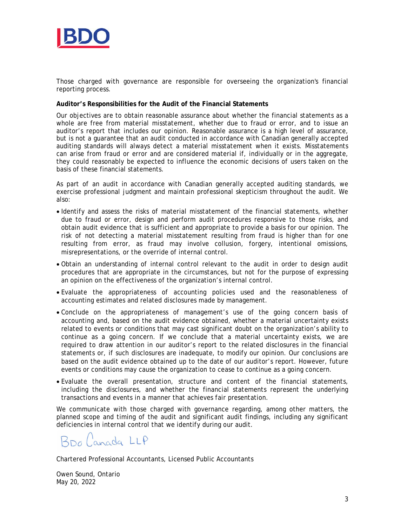

Those charged with governance are responsible for overseeing the organization's financial reporting process.

**Auditor's Responsibilities for the Audit of the Financial Statements**

Our objectives are to obtain reasonable assurance about whether the financial statements as a whole are free from material misstatement, whether due to fraud or error, and to issue an auditor's report that includes our opinion. Reasonable assurance is a high level of assurance, but is not a guarantee that an audit conducted in accordance with Canadian generally accepted auditing standards will always detect a material misstatement when it exists. Misstatements can arise from fraud or error and are considered material if, individually or in the aggregate, they could reasonably be expected to influence the economic decisions of users taken on the basis of these financial statements.

As part of an audit in accordance with Canadian generally accepted auditing standards, we exercise professional judgment and maintain professional skepticism throughout the audit. We also:

- Identify and assess the risks of material misstatement of the financial statements, whether due to fraud or error, design and perform audit procedures responsive to those risks, and obtain audit evidence that is sufficient and appropriate to provide a basis for our opinion. The risk of not detecting a material misstatement resulting from fraud is higher than for one resulting from error, as fraud may involve collusion, forgery, intentional omissions, misrepresentations, or the override of internal control.
- Obtain an understanding of internal control relevant to the audit in order to design audit procedures that are appropriate in the circumstances, but not for the purpose of expressing an opinion on the effectiveness of the organization's internal control.
- Evaluate the appropriateness of accounting policies used and the reasonableness of accounting estimates and related disclosures made by management.
- Conclude on the appropriateness of management's use of the going concern basis of accounting and, based on the audit evidence obtained, whether a material uncertainty exists related to events or conditions that may cast significant doubt on the organization's ability to continue as a going concern. If we conclude that a material uncertainty exists, we are required to draw attention in our auditor's report to the related disclosures in the financial statements or, if such disclosures are inadequate, to modify our opinion. Our conclusions are based on the audit evidence obtained up to the date of our auditor's report. However, future events or conditions may cause the organization to cease to continue as a going concern.
- Evaluate the overall presentation, structure and content of the financial statements, including the disclosures, and whether the financial statements represent the underlying transactions and events in a manner that achieves fair presentation.

We communicate with those charged with governance regarding, among other matters, the planned scope and timing of the audit and significant audit findings, including any significant deficiencies in internal control that we identify during our audit.

BDO Canada LLP

Chartered Professional Accountants, Licensed Public Accountants

Owen Sound, Ontario May 20, 2022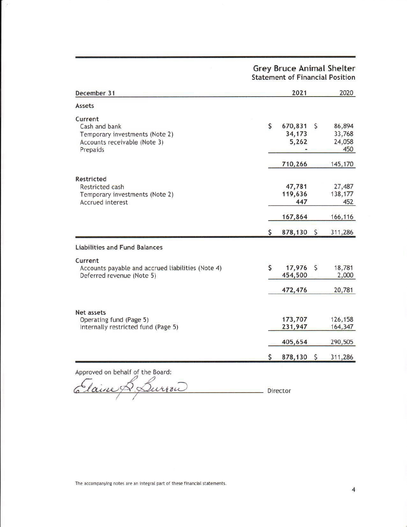# **Grey Bruce Animal Shelter**<br>Statement of Financial Position

| December 31                                                                                            |                    | 2021                       |            | 2020                              |
|--------------------------------------------------------------------------------------------------------|--------------------|----------------------------|------------|-----------------------------------|
| Assets                                                                                                 |                    |                            |            |                                   |
| Current<br>Cash and bank<br>Temporary investments (Note 2)<br>Accounts receivable (Note 3)<br>Prepaids | \$                 | 670,831<br>34,173<br>5,262 | \$         | 86,894<br>33,768<br>24,058<br>450 |
|                                                                                                        |                    | 710,266                    |            | 145,170                           |
| Restricted<br>Restricted cash<br>Temporary investments (Note 2)<br><b>Accrued interest</b>             |                    | 47,781<br>119,636<br>447   |            | 27,487<br>138,177<br>452          |
|                                                                                                        |                    | 167,864                    |            | 166,116                           |
|                                                                                                        | \$                 | 878,130 \$                 |            | 311,286                           |
| <b>Liabilities and Fund Balances</b>                                                                   |                    |                            |            |                                   |
| Current<br>Accounts payable and accrued liabilities (Note 4)<br>Deferred revenue (Note 5)              | \$                 | 17,976<br>454,500          | \$         | 18,781<br>2,000                   |
|                                                                                                        |                    | 472,476                    |            | 20,781                            |
| Net assets<br>Operating fund (Page 5)<br>Internally restricted fund (Page 5)                           |                    | 173,707<br>231,947         |            | 126,158<br>164,347                |
|                                                                                                        |                    | 405,654                    |            | 290,505                           |
|                                                                                                        | $\mathsf{\hat{S}}$ | 878,130                    | $\sqrt{5}$ | 311,286                           |

Taine Lurroi Director

The accompanying notes are an integral part of these financial statements.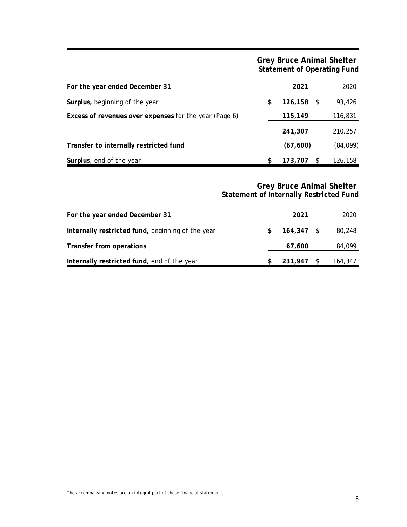**Grey Bruce Animal Shelter Statement of Operating Fund**

| For the year ended December 31                         | 2021                | 2020      |
|--------------------------------------------------------|---------------------|-----------|
| Surplus, beginning of the year                         | \$<br>$126, 158$ \$ | 93,426    |
| Excess of revenues over expenses for the year (Page 6) | 115,149             | 116,831   |
|                                                        | 241,307             | 210,257   |
| Transfer to internally restricted fund                 | (67, 600)           | (84, 099) |
| Surplus, end of the year                               | 173,707             | 126,158   |

**Grey Bruce Animal Shelter Statement of Internally Restricted Fund**

| For the year ended December 31                    | 2021       | 2020    |
|---------------------------------------------------|------------|---------|
| Internally restricted fund, beginning of the year | 164,347 \$ | 80,248  |
| Transfer from operations                          | 67,600     | 84,099  |
| Internally restricted fund, end of the year       | 231,947 \$ | 164,347 |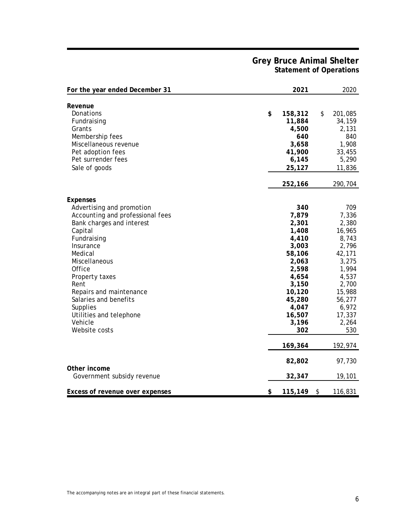## **Grey Bruce Animal Shelter Statement of Operations**

| For the year ended December 31                                                                                                                                                                                                                                                                                                       | 2021                                                                                                                                                  | 2020                                                                                                                                                   |
|--------------------------------------------------------------------------------------------------------------------------------------------------------------------------------------------------------------------------------------------------------------------------------------------------------------------------------------|-------------------------------------------------------------------------------------------------------------------------------------------------------|--------------------------------------------------------------------------------------------------------------------------------------------------------|
| Revenue<br>Donations<br>Fundraising<br>Grants<br>Membership fees<br>Miscellaneous revenue<br>Pet adoption fees<br>Pet surrender fees<br>Sale of goods                                                                                                                                                                                | \$<br>158,312<br>11,884<br>4,500<br>640<br>3,658<br>41,900<br>6,145<br>25,127                                                                         | \$<br>201,085<br>34,159<br>2,131<br>840<br>1,908<br>33,455<br>5,290<br>11,836                                                                          |
|                                                                                                                                                                                                                                                                                                                                      | 252,166                                                                                                                                               | 290,704                                                                                                                                                |
| Expenses<br>Advertising and promotion<br>Accounting and professional fees<br>Bank charges and interest<br>Capital<br>Fundraising<br>Insurance<br>Medical<br>Miscellaneous<br>Office<br>Property taxes<br>Rent<br>Repairs and maintenance<br>Salaries and benefits<br>Supplies<br>Utilities and telephone<br>Vehicle<br>Website costs | 340<br>7,879<br>2,301<br>1,408<br>4,410<br>3,003<br>58,106<br>2,063<br>2,598<br>4,654<br>3,150<br>10,120<br>45,280<br>4,047<br>16,507<br>3,196<br>302 | 709<br>7,336<br>2,380<br>16,965<br>8,743<br>2,796<br>42,171<br>3,275<br>1,994<br>4,537<br>2,700<br>15,988<br>56,277<br>6,972<br>17,337<br>2,264<br>530 |
|                                                                                                                                                                                                                                                                                                                                      | 169,364                                                                                                                                               | 192,974                                                                                                                                                |
| Other income                                                                                                                                                                                                                                                                                                                         | 82,802                                                                                                                                                | 97,730                                                                                                                                                 |
| Government subsidy revenue                                                                                                                                                                                                                                                                                                           | 32,347                                                                                                                                                | 19,101                                                                                                                                                 |
| Excess of revenue over expenses                                                                                                                                                                                                                                                                                                      | \$<br>115,149                                                                                                                                         | \$<br>116,831                                                                                                                                          |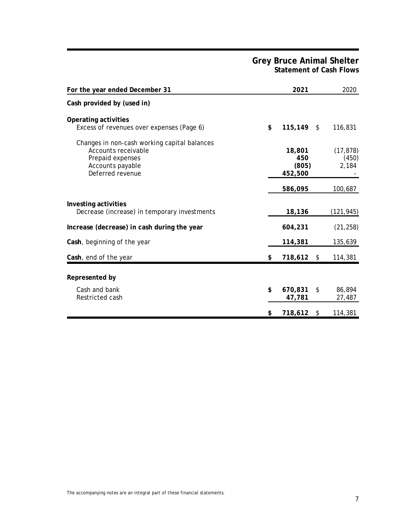## **Grey Bruce Animal Shelter Statement of Cash Flows**

| For the year ended December 31                                                                                                  | 2021                                         | 2020                                   |
|---------------------------------------------------------------------------------------------------------------------------------|----------------------------------------------|----------------------------------------|
| Cash provided by (used in)                                                                                                      |                                              |                                        |
| Operating activities<br>Excess of revenues over expenses (Page 6)                                                               | \$<br>$115, 149$ \$                          | 116,831                                |
| Changes in non-cash working capital balances<br>Accounts receivable<br>Prepaid expenses<br>Accounts payable<br>Deferred revenue | 18,801<br>450<br>(805)<br>452,500<br>586,095 | (17, 878)<br>(450)<br>2,184<br>100,687 |
| Investing activities<br>Decrease (increase) in temporary investments                                                            | 18,136                                       | (121,945)                              |
| Increase (decrease) in cash during the year                                                                                     | 604,231                                      | (21, 258)                              |
| Cash, beginning of the year                                                                                                     | 114,381                                      | 135,639                                |
| Cash, end of the year                                                                                                           | \$<br>718,612                                | \$<br>114,381                          |
| Represented by                                                                                                                  |                                              |                                        |
| Cash and bank<br>Restricted cash                                                                                                | \$<br>670,831<br>47,781                      | \$<br>86,894<br>27,487                 |
|                                                                                                                                 | \$<br>718,612                                | \$<br>114,381                          |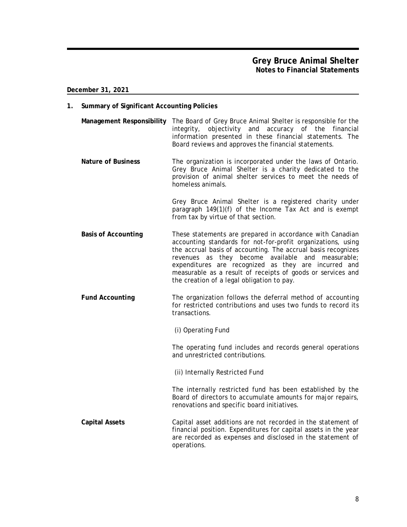- **1. Summary of Significant Accounting Policies**
	- **Management Responsibility** The Board of Grey Bruce Animal Shelter is responsible for the integrity, objectivity and accuracy of the financial information presented in these financial statements. The Board reviews and approves the financial statements.
	- **Nature of Business** The organization is incorporated under the laws of Ontario. Grey Bruce Animal Shelter is a charity dedicated to the provision of animal shelter services to meet the needs of homeless animals.

Grey Bruce Animal Shelter is a registered charity under paragraph 149(1)(f) of the Income Tax Act and is exempt from tax by virtue of that section.

- **Basis of Accounting** These statements are prepared in accordance with Canadian accounting standards for not-for-profit organizations, using the accrual basis of accounting. The accrual basis recognizes revenues as they become available and measurable; expenditures are recognized as they are incurred and measurable as a result of receipts of goods or services and the creation of a legal obligation to pay.
- **Fund Accounting** The organization follows the deferral method of accounting for restricted contributions and uses two funds to record its transactions.
	- (i) Operating Fund

The operating fund includes and records general operations and unrestricted contributions.

(ii) Internally Restricted Fund

The internally restricted fund has been established by the Board of directors to accumulate amounts for major repairs, renovations and specific board initiatives.

**Capital Assets** Capital asset additions are not recorded in the statement of financial position. Expenditures for capital assets in the year are recorded as expenses and disclosed in the statement of operations.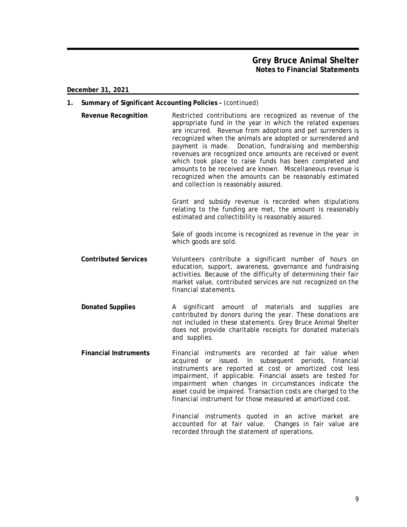- **1. Summary of Significant Accounting Policies -** (continued)
	- **Revenue Recognition** Restricted contributions are recognized as revenue of the appropriate fund in the year in which the related expenses are incurred. Revenue from adoptions and pet surrenders is recognized when the animals are adopted or surrendered and payment is made. Donation, fundraising and membership revenues are recognized once amounts are received or event which took place to raise funds has been completed and amounts to be received are known. Miscellaneous revenue is recognized when the amounts can be reasonably estimated and collection is reasonably assured.

Grant and subsidy revenue is recorded when stipulations relating to the funding are met, the amount is reasonably estimated and collectibility is reasonably assured.

Sale of goods income is recognized as revenue in the year in which goods are sold.

- **Contributed Services** Volunteers contribute a significant number of hours on education, support, awareness, governance and fundraising activities. Because of the difficulty of determining their fair market value, contributed services are not recognized on the financial statements.
- **Donated Supplies** A significant amount of materials and supplies are contributed by donors during the year. These donations are not included in these statements. Grey Bruce Animal Shelter does not provide charitable receipts for donated materials and supplies.
- **Financial Instruments** Financial instruments are recorded at fair value when acquired or issued. In subsequent periods, financial instruments are reported at cost or amortized cost less impairment, if applicable. Financial assets are tested for impairment when changes in circumstances indicate the asset could be impaired. Transaction costs are charged to the financial instrument for those measured at amortized cost.

Financial instruments quoted in an active market are accounted for at fair value. Changes in fair value are recorded through the statement of operations.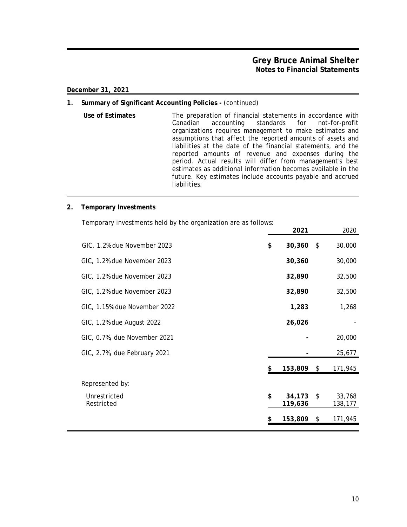## **Grey Bruce Animal Shelter Notes to Financial Statements**

**December 31, 2021**

## **1. Summary of Significant Accounting Policies -** (continued)

**Use of Estimates** The preparation of financial statements in accordance with Canadian accounting standards for not-for-profit organizations requires management to make estimates and assumptions that affect the reported amounts of assets and liabilities at the date of the financial statements, and the reported amounts of revenue and expenses during the period. Actual results will differ from management's best estimates as additional information becomes available in the future. Key estimates include accounts payable and accrued liabilities.

#### **2. Temporary Investments**

Temporary investments held by the organization are as follows:

|                              | 2021                    |               | 2020              |
|------------------------------|-------------------------|---------------|-------------------|
| GIC, 1.2% due November 2023  | \$<br>30,360            | $\frac{1}{2}$ | 30,000            |
| GIC, 1.2% due November 2023  | 30,360                  |               | 30,000            |
| GIC, 1.2% due November 2023  | 32,890                  |               | 32,500            |
| GIC, 1.2% due November 2023  | 32,890                  |               | 32,500            |
| GIC, 1.15% due November 2022 | 1,283                   |               | 1,268             |
| GIC, 1.2% due August 2022    | 26,026                  |               |                   |
| GIC, 0.7%, due November 2021 |                         |               | 20,000            |
| GIC, 2.7%, due February 2021 |                         |               | 25,677            |
|                              | \$<br>153,809 \$        |               | 171,945           |
| Represented by:              |                         |               |                   |
| Unrestricted<br>Restricted   | \$<br>34,173<br>119,636 | \$            | 33,768<br>138,177 |
|                              | \$<br>153,809           | \$            | 171,945           |
|                              |                         |               |                   |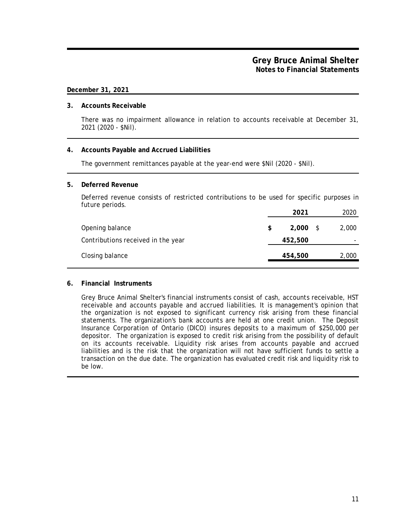#### **3. Accounts Receivable**

There was no impairment allowance in relation to accounts receivable at December 31, 2021 (2020 - \$Nil).

## **4. Accounts Payable and Accrued Liabilities**

The government remittances payable at the year-end were \$Nil (2020 - \$Nil).

#### **5. Deferred Revenue**

Deferred revenue consists of restricted contributions to be used for specific purposes in future periods.

|                                    |     | 2021       | 2020  |
|------------------------------------|-----|------------|-------|
| Opening balance                    | \$. | $2,000$ \$ | 2,000 |
| Contributions received in the year |     | 452,500    |       |
| Closing balance                    |     | 454,500    | 2,000 |

## **6. Financial Instruments**

Grey Bruce Animal Shelter's financial instruments consist of cash, accounts receivable, HST receivable and accounts payable and accrued liabilities. It is management's opinion that the organization is not exposed to significant currency risk arising from these financial statements. The organization's bank accounts are held at one credit union. The Deposit Insurance Corporation of Ontario (DICO) insures deposits to a maximum of \$250,000 per depositor. The organization is exposed to credit risk arising from the possibility of default on its accounts receivable. Liquidity risk arises from accounts payable and accrued liabilities and is the risk that the organization will not have sufficient funds to settle a transaction on the due date. The organization has evaluated credit risk and liquidity risk to be low.